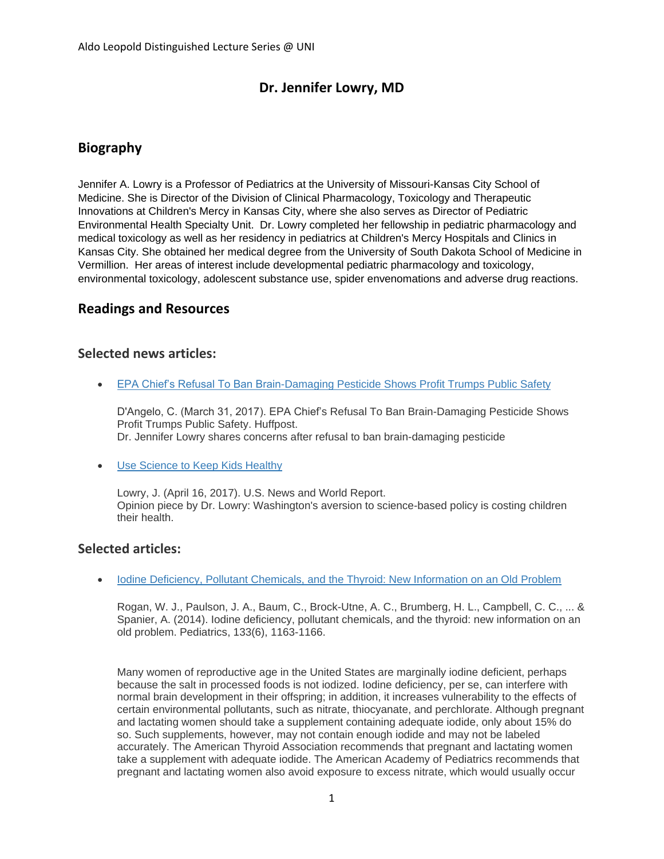# **Dr. Jennifer Lowry, MD**

# **Biography**

Jennifer A. Lowry is a Professor of Pediatrics at the University of Missouri-Kansas City School of Medicine. She is Director of the Division of Clinical Pharmacology, Toxicology and Therapeutic Innovations at Children's Mercy in Kansas City, where she also serves as Director of Pediatric Environmental Health Specialty Unit. Dr. Lowry completed her fellowship in pediatric pharmacology and medical toxicology as well as her residency in pediatrics at Children's Mercy Hospitals and Clinics in Kansas City. She obtained her medical degree from the University of South Dakota School of Medicine in Vermillion. Her areas of interest include developmental pediatric pharmacology and toxicology, environmental toxicology, adolescent substance use, spider envenomations and adverse drug reactions.

### **Readings and Resources**

### **Selected news articles:**

[EPA Chief's Refusal To Ban Brain-Damaging Pesticide Shows Profit Trumps Public Safety](https://www.huffingtonpost.com/entry/scott-pruitt-pesticide-chlorpyrifos_us_58dd331de4b0e6ac7092fbd8)

D'Angelo, C. (March 31, 2017). EPA Chief's Refusal To Ban Brain-Damaging Pesticide Shows Profit Trumps Public Safety. Huffpost. Dr. Jennifer Lowry shares concerns after refusal to ban brain-damaging pesticide

• [Use Science to Keep Kids Healthy](https://www.usnews.com/opinion/policy-dose/articles/2017-04-26/congress-risks-our-kids-health-when-they-ignore-science)

Lowry, J. (April 16, 2017). U.S. News and World Report. Opinion piece by Dr. Lowry: Washington's aversion to science-based policy is costing children their health.

#### **Selected articles:**

• [Iodine Deficiency, Pollutant Chemicals, and the Thyroid: New Information on an Old Problem](http://pediatrics.aappublications.org/content/early/2014/05/20/peds.2014-0900)

Rogan, W. J., Paulson, J. A., Baum, C., Brock-Utne, A. C., Brumberg, H. L., Campbell, C. C., ... & Spanier, A. (2014). Iodine deficiency, pollutant chemicals, and the thyroid: new information on an old problem. Pediatrics, 133(6), 1163-1166.

Many women of reproductive age in the United States are marginally iodine deficient, perhaps because the salt in processed foods is not iodized. Iodine deficiency, per se, can interfere with normal brain development in their offspring; in addition, it increases vulnerability to the effects of certain environmental pollutants, such as nitrate, thiocyanate, and perchlorate. Although pregnant and lactating women should take a supplement containing adequate iodide, only about 15% do so. Such supplements, however, may not contain enough iodide and may not be labeled accurately. The American Thyroid Association recommends that pregnant and lactating women take a supplement with adequate iodide. The American Academy of Pediatrics recommends that pregnant and lactating women also avoid exposure to excess nitrate, which would usually occur